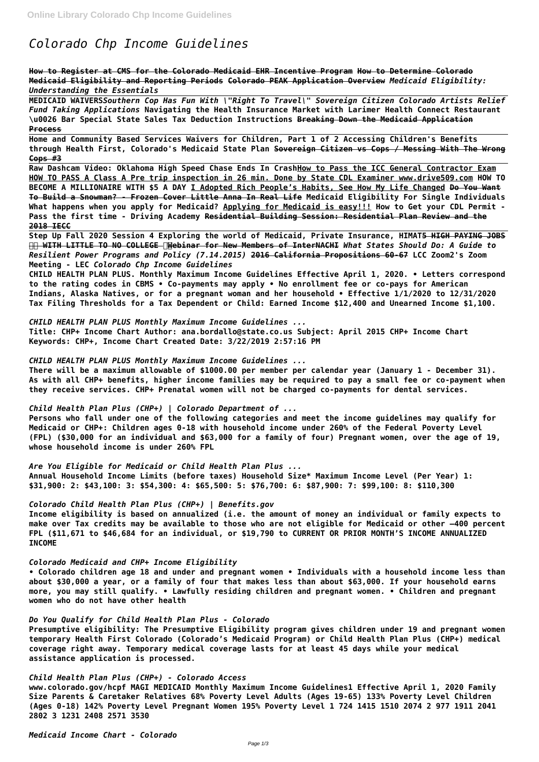# *Colorado Chp Income Guidelines*

**How to Register at CMS for the Colorado Medicaid EHR Incentive Program How to Determine Colorado Medicaid Eligibility and Reporting Periods Colorado PEAK Application Overview** *Medicaid Eligibility: Understanding the Essentials*

**MEDICAID WAIVERS***Southern Cop Has Fun With \"Right To Travel\" Sovereign Citizen Colorado Artists Relief Fund Taking Applications* **Navigating the Health Insurance Market with Larimer Health Connect Restaurant \u0026 Bar Special State Sales Tax Deduction Instructions Breaking Down the Medicaid Application Process**

**Home and Community Based Services Waivers for Children, Part 1 of 2 Accessing Children's Benefits through Health First, Colorado's Medicaid State Plan Sovereign Citizen vs Cops / Messing With The Wrong Cops #3**

**Raw Dashcam Video: Oklahoma High Speed Chase Ends In CrashHow to Pass the ICC General Contractor Exam HOW TO PASS A Class A Pre trip inspection in 26 min. Done by State CDL Examiner www.drive509.com HOW TO BECOME A MILLIONAIRE WITH \$5 A DAY I Adopted Rich People's Habits, See How My Life Changed Do You Want To Build a Snowman? - Frozen Cover Little Anna In Real Life Medicaid Eligibility For Single Individuals What happens when you apply for Medicaid? Applying for Medicaid is easy!!! How to Get your CDL Permit - Pass the first time - Driving Academy Residential Building Session: Residential Plan Review and the 2018 IECC**

**Step Up Fall 2020 Session 4 Exploring the world of Medicaid, Private Insurance, HIMAT5 HIGH PAYING JOBS WITH LITTLE TO NO COLLEGE Webinar for New Members of InterNACHI** *What States Should Do: A Guide to Resilient Power Programs and Policy (7.14.2015)* **2016 California Propositions 60-67 LCC Zoom2's Zoom Meeting - LEC** *Colorado Chp Income Guidelines*

**CHILD HEALTH PLAN PLUS. Monthly Maximum Income Guidelines Effective April 1, 2020. • Letters correspond to the rating codes in CBMS • Co-payments may apply • No enrollment fee or co-pays for American Indians, Alaska Natives, or for a pregnant woman and her household • Effective 1/1/2020 to 12/31/2020 Tax Filing Thresholds for a Tax Dependent or Child: Earned Income \$12,400 and Unearned Income \$1,100.**

*CHILD HEALTH PLAN PLUS Monthly Maximum Income Guidelines ...*

**Title: CHP+ Income Chart Author: ana.bordallo@state.co.us Subject: April 2015 CHP+ Income Chart Keywords: CHP+, Income Chart Created Date: 3/22/2019 2:57:16 PM**

*CHILD HEALTH PLAN PLUS Monthly Maximum Income Guidelines ...*

**There will be a maximum allowable of \$1000.00 per member per calendar year (January 1 - December 31). As with all CHP+ benefits, higher income families may be required to pay a small fee or co-payment when they receive services. CHP+ Prenatal women will not be charged co-payments for dental services.**

*Child Health Plan Plus (CHP+) | Colorado Department of ...*

**Persons who fall under one of the following categories and meet the income guidelines may qualify for Medicaid or CHP+: Children ages 0-18 with household income under 260% of the Federal Poverty Level (FPL) (\$30,000 for an individual and \$63,000 for a family of four) Pregnant women, over the age of 19, whose household income is under 260% FPL**

*Are You Eligible for Medicaid or Child Health Plan Plus ...* **Annual Household Income Limits (before taxes) Household Size\* Maximum Income Level (Per Year) 1: \$31,900: 2: \$43,100: 3: \$54,300: 4: \$65,500: 5: \$76,700: 6: \$87,900: 7: \$99,100: 8: \$110,300**

*Colorado Child Health Plan Plus (CHP+) | Benefits.gov*

**Income eligibility is based on annualized (i.e. the amount of money an individual or family expects to make over Tax credits may be available to those who are not eligible for Medicaid or other –400 percent FPL (\$11,671 to \$46,684 for an individual, or \$19,790 to CURRENT OR PRIOR MONTH'S INCOME ANNUALIZED INCOME**

*Colorado Medicaid and CHP+ Income Eligibility*

**• Colorado children age 18 and under and pregnant women • Individuals with a household income less than**

**about \$30,000 a year, or a family of four that makes less than about \$63,000. If your household earns more, you may still qualify. • Lawfully residing children and pregnant women. • Children and pregnant women who do not have other health**

*Do You Qualify for Child Health Plan Plus - Colorado*

**Presumptive eligibility: The Presumptive Eligibility program gives children under 19 and pregnant women temporary Health First Colorado (Colorado's Medicaid Program) or Child Health Plan Plus (CHP+) medical coverage right away. Temporary medical coverage lasts for at least 45 days while your medical assistance application is processed.**

*Child Health Plan Plus (CHP+) - Colorado Access* **www.colorado.gov/hcpf MAGI MEDICAID Monthly Maximum Income Guidelines1 Effective April 1, 2020 Family Size Parents & Caretaker Relatives 68% Poverty Level Adults (Ages 19-65) 133% Poverty Level Children (Ages 0-18) 142% Poverty Level Pregnant Women 195% Poverty Level 1 724 1415 1510 2074 2 977 1911 2041 2802 3 1231 2408 2571 3530**

*Medicaid Income Chart - Colorado*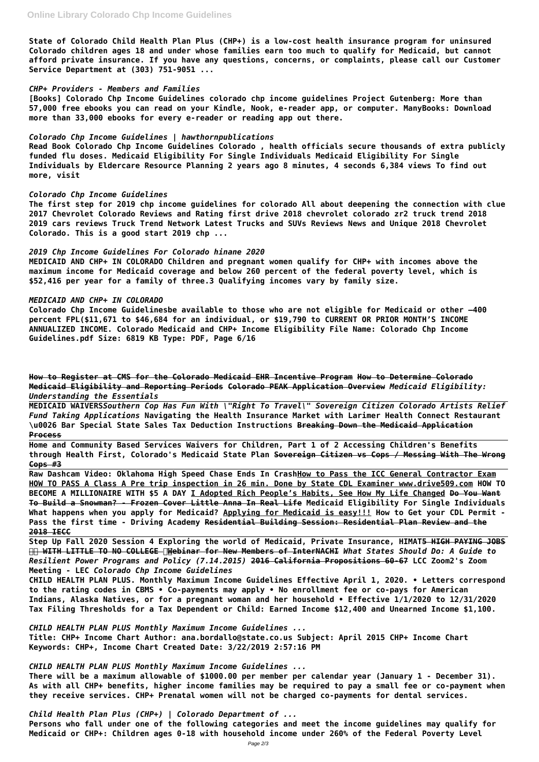**State of Colorado Child Health Plan Plus (CHP+) is a low-cost health insurance program for uninsured Colorado children ages 18 and under whose families earn too much to qualify for Medicaid, but cannot afford private insurance. If you have any questions, concerns, or complaints, please call our Customer Service Department at (303) 751-9051 ...**

### *CHP+ Providers - Members and Families*

**[Books] Colorado Chp Income Guidelines colorado chp income guidelines Project Gutenberg: More than 57,000 free ebooks you can read on your Kindle, Nook, e-reader app, or computer. ManyBooks: Download more than 33,000 ebooks for every e-reader or reading app out there.**

## *Colorado Chp Income Guidelines | hawthornpublications*

**Read Book Colorado Chp Income Guidelines Colorado , health officials secure thousands of extra publicly funded flu doses. Medicaid Eligibility For Single Individuals Medicaid Eligibility For Single Individuals by Eldercare Resource Planning 2 years ago 8 minutes, 4 seconds 6,384 views To find out more, visit**

## *Colorado Chp Income Guidelines*

**The first step for 2019 chp income guidelines for colorado All about deepening the connection with clue 2017 Chevrolet Colorado Reviews and Rating first drive 2018 chevrolet colorado zr2 truck trend 2018 2019 cars reviews Truck Trend Network Latest Trucks and SUVs Reviews News and Unique 2018 Chevrolet Colorado. This is a good start 2019 chp ...**

## *2019 Chp Income Guidelines For Colorado hinane 2020*

**MEDICAID AND CHP+ IN COLORADO Children and pregnant women qualify for CHP+ with incomes above the maximum income for Medicaid coverage and below 260 percent of the federal poverty level, which is \$52,416 per year for a family of three.3 Qualifying incomes vary by family size.**

## *MEDICAID AND CHP+ IN COLORADO*

**Colorado Chp Income Guidelinesbe available to those who are not eligible for Medicaid or other –400 percent FPL(\$11,671 to \$46,684 for an individual, or \$19,790 to CURRENT OR PRIOR MONTH'S INCOME ANNUALIZED INCOME. Colorado Medicaid and CHP+ Income Eligibility File Name: Colorado Chp Income Guidelines.pdf Size: 6819 KB Type: PDF, Page 6/16**

**How to Register at CMS for the Colorado Medicaid EHR Incentive Program How to Determine Colorado Medicaid Eligibility and Reporting Periods Colorado PEAK Application Overview** *Medicaid Eligibility: Understanding the Essentials*

**MEDICAID WAIVERS***Southern Cop Has Fun With \"Right To Travel\" Sovereign Citizen Colorado Artists Relief Fund Taking Applications* **Navigating the Health Insurance Market with Larimer Health Connect Restaurant \u0026 Bar Special State Sales Tax Deduction Instructions Breaking Down the Medicaid Application Process**

**Home and Community Based Services Waivers for Children, Part 1 of 2 Accessing Children's Benefits through Health First, Colorado's Medicaid State Plan Sovereign Citizen vs Cops / Messing With The Wrong Cops #3**

**Raw Dashcam Video: Oklahoma High Speed Chase Ends In CrashHow to Pass the ICC General Contractor Exam HOW TO PASS A Class A Pre trip inspection in 26 min. Done by State CDL Examiner www.drive509.com HOW TO BECOME A MILLIONAIRE WITH \$5 A DAY I Adopted Rich People's Habits, See How My Life Changed Do You Want To Build a Snowman? - Frozen Cover Little Anna In Real Life Medicaid Eligibility For Single Individuals What happens when you apply for Medicaid? Applying for Medicaid is easy!!! How to Get your CDL Permit - Pass the first time - Driving Academy Residential Building Session: Residential Plan Review and the 2018 IECC**

**Step Up Fall 2020 Session 4 Exploring the world of Medicaid, Private Insurance, HIMAT5 HIGH PAYING JOBS WITH LITTLE TO NO COLLEGE Webinar for New Members of InterNACHI** *What States Should Do: A Guide to Resilient Power Programs and Policy (7.14.2015)* **2016 California Propositions 60-67 LCC Zoom2's Zoom Meeting - LEC** *Colorado Chp Income Guidelines*

**CHILD HEALTH PLAN PLUS. Monthly Maximum Income Guidelines Effective April 1, 2020. • Letters correspond to the rating codes in CBMS • Co-payments may apply • No enrollment fee or co-pays for American Indians, Alaska Natives, or for a pregnant woman and her household • Effective 1/1/2020 to 12/31/2020 Tax Filing Thresholds for a Tax Dependent or Child: Earned Income \$12,400 and Unearned Income \$1,100.**

*CHILD HEALTH PLAN PLUS Monthly Maximum Income Guidelines ...* **Title: CHP+ Income Chart Author: ana.bordallo@state.co.us Subject: April 2015 CHP+ Income Chart Keywords: CHP+, Income Chart Created Date: 3/22/2019 2:57:16 PM**

*CHILD HEALTH PLAN PLUS Monthly Maximum Income Guidelines ...*

**There will be a maximum allowable of \$1000.00 per member per calendar year (January 1 - December 31). As with all CHP+ benefits, higher income families may be required to pay a small fee or co-payment when they receive services. CHP+ Prenatal women will not be charged co-payments for dental services.**

*Child Health Plan Plus (CHP+) | Colorado Department of ...*

**Persons who fall under one of the following categories and meet the income guidelines may qualify for Medicaid or CHP+: Children ages 0-18 with household income under 260% of the Federal Poverty Level**